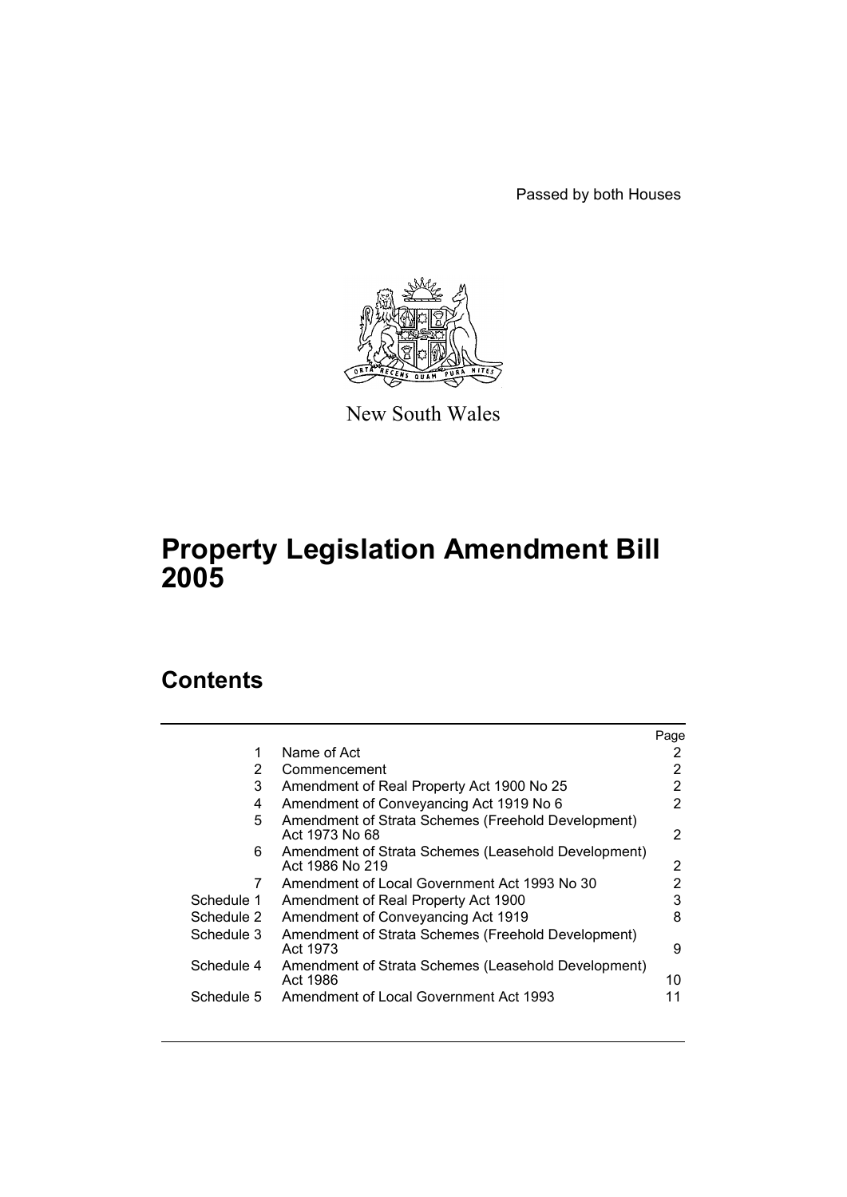Passed by both Houses



New South Wales

# **Property Legislation Amendment Bill 2005**

# **Contents**

|            |                                                                        | Page |
|------------|------------------------------------------------------------------------|------|
| 1          | Name of Act                                                            | 2    |
| 2          | Commencement                                                           | 2    |
| 3          | Amendment of Real Property Act 1900 No 25                              | 2    |
| 4          | Amendment of Conveyancing Act 1919 No 6                                | 2    |
| 5          | Amendment of Strata Schemes (Freehold Development)<br>Act 1973 No 68   | 2    |
| 6          | Amendment of Strata Schemes (Leasehold Development)<br>Act 1986 No 219 | 2    |
| 7          | Amendment of Local Government Act 1993 No 30                           | 2    |
| Schedule 1 | Amendment of Real Property Act 1900                                    | 3    |
| Schedule 2 | Amendment of Conveyancing Act 1919                                     | 8    |
| Schedule 3 | Amendment of Strata Schemes (Freehold Development)<br>Act 1973         | 9    |
| Schedule 4 | Amendment of Strata Schemes (Leasehold Development)<br>Act 1986        | 10   |
| Schedule 5 | Amendment of Local Government Act 1993                                 | 11   |
|            |                                                                        |      |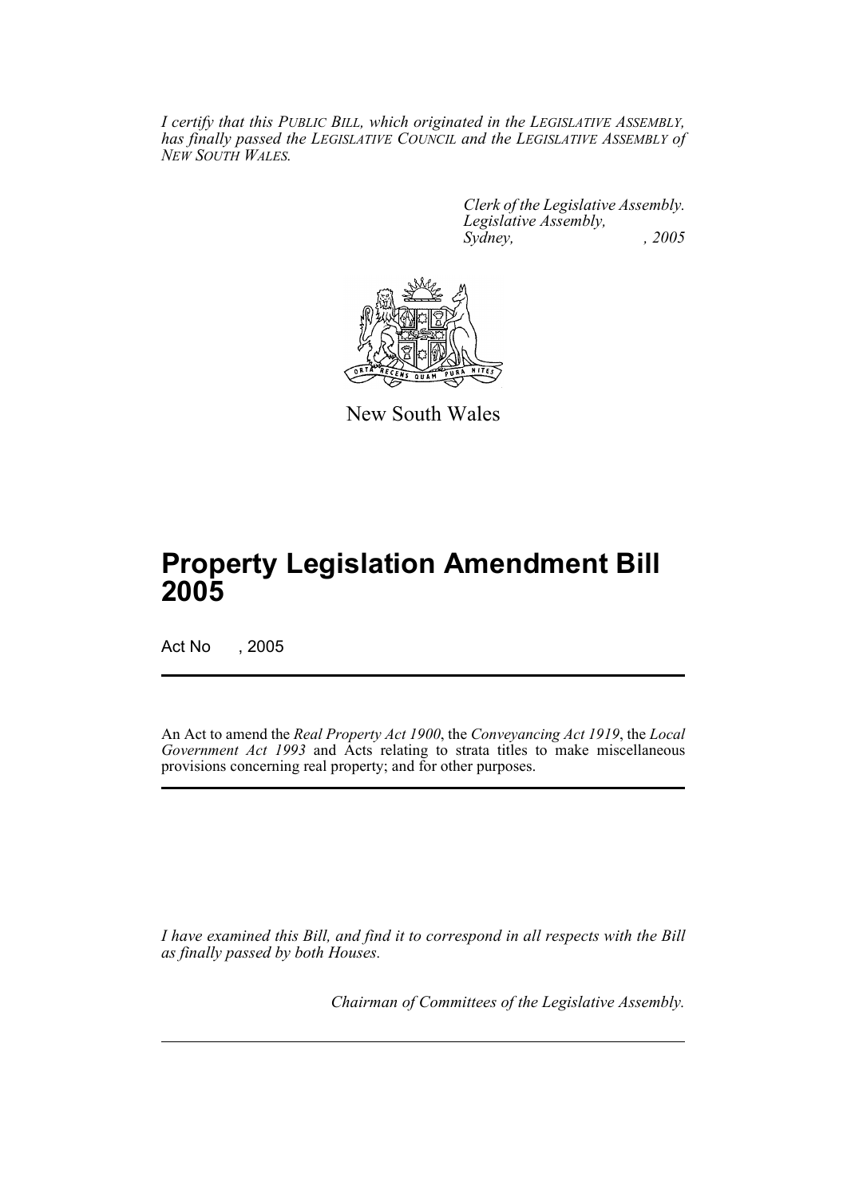*I certify that this PUBLIC BILL, which originated in the LEGISLATIVE ASSEMBLY, has finally passed the LEGISLATIVE COUNCIL and the LEGISLATIVE ASSEMBLY of NEW SOUTH WALES.*

> *Clerk of the Legislative Assembly. Legislative Assembly, Sydney, , 2005*



New South Wales

# **Property Legislation Amendment Bill 2005**

Act No , 2005

An Act to amend the *Real Property Act 1900*, the *Conveyancing Act 1919*, the *Local Government Act 1993* and Acts relating to strata titles to make miscellaneous provisions concerning real property; and for other purposes.

*I have examined this Bill, and find it to correspond in all respects with the Bill as finally passed by both Houses.*

*Chairman of Committees of the Legislative Assembly.*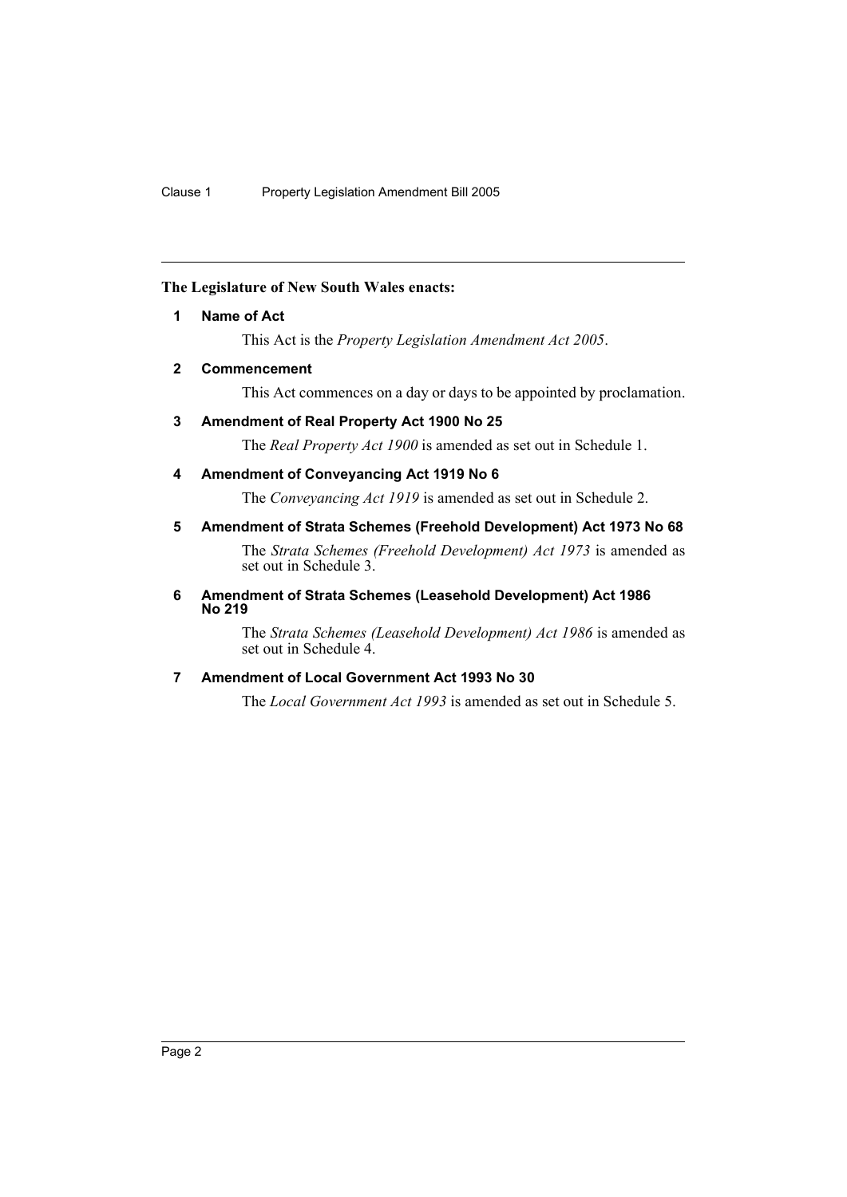## **The Legislature of New South Wales enacts:**

# **1 Name of Act**

This Act is the *Property Legislation Amendment Act 2005*.

# **2 Commencement**

This Act commences on a day or days to be appointed by proclamation.

# **3 Amendment of Real Property Act 1900 No 25**

The *Real Property Act 1900* is amended as set out in Schedule 1.

# **4 Amendment of Conveyancing Act 1919 No 6**

The *Conveyancing Act 1919* is amended as set out in Schedule 2.

# **5 Amendment of Strata Schemes (Freehold Development) Act 1973 No 68**

The *Strata Schemes (Freehold Development) Act 1973* is amended as set out in Schedule 3.

#### **6 Amendment of Strata Schemes (Leasehold Development) Act 1986 No 219**

The *Strata Schemes (Leasehold Development) Act 1986* is amended as set out in Schedule 4.

# **7 Amendment of Local Government Act 1993 No 30**

The *Local Government Act 1993* is amended as set out in Schedule 5.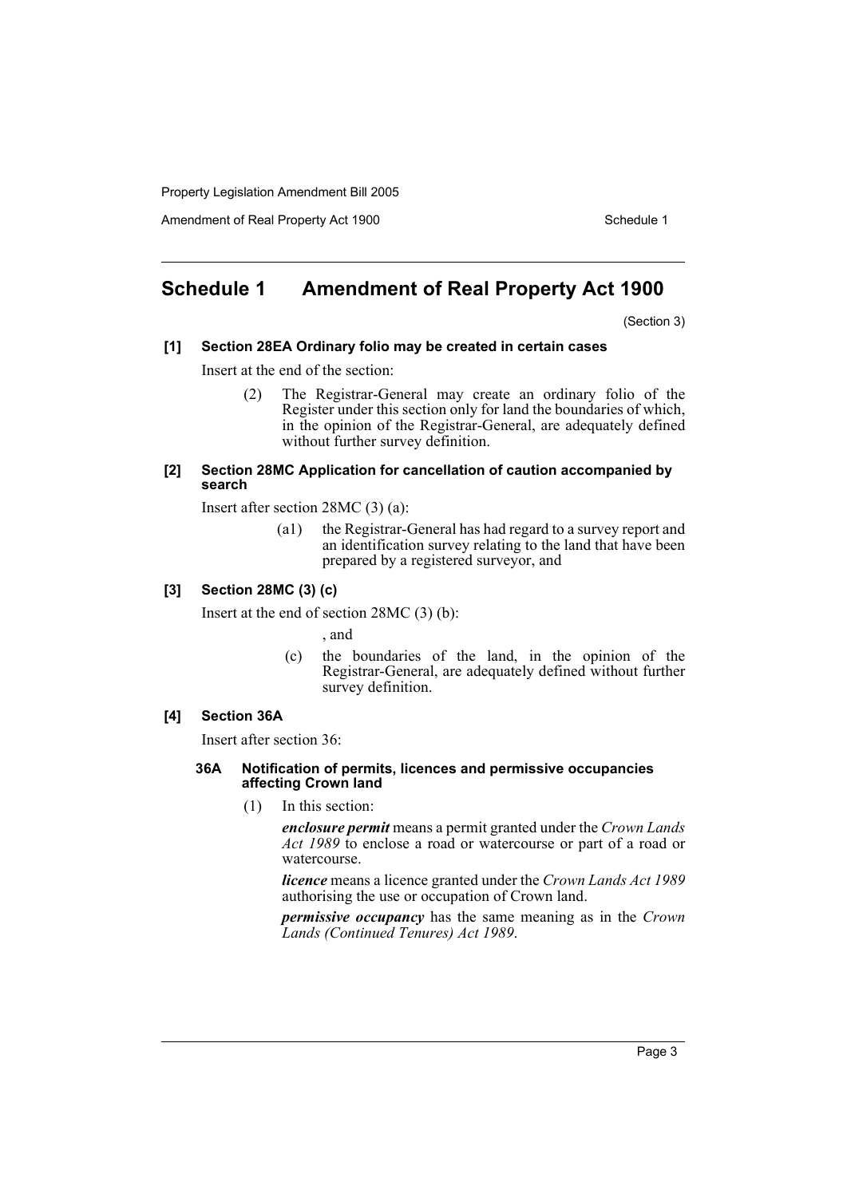Amendment of Real Property Act 1900 Schedule 1

# **Schedule 1 Amendment of Real Property Act 1900**

(Section 3)

#### **[1] Section 28EA Ordinary folio may be created in certain cases**

Insert at the end of the section:

(2) The Registrar-General may create an ordinary folio of the Register under this section only for land the boundaries of which, in the opinion of the Registrar-General, are adequately defined without further survey definition.

#### **[2] Section 28MC Application for cancellation of caution accompanied by search**

Insert after section 28MC (3) (a):

(a1) the Registrar-General has had regard to a survey report and an identification survey relating to the land that have been prepared by a registered surveyor, and

#### **[3] Section 28MC (3) (c)**

Insert at the end of section 28MC (3) (b):

, and

(c) the boundaries of the land, in the opinion of the Registrar-General, are adequately defined without further survey definition.

#### **[4] Section 36A**

Insert after section 36:

#### **36A Notification of permits, licences and permissive occupancies**  affecting Crown land

(1) In this section:

*enclosure permit* means a permit granted under the *Crown Lands Act 1989* to enclose a road or watercourse or part of a road or watercourse.

*licence* means a licence granted under the *Crown Lands Act 1989* authorising the use or occupation of Crown land.

*permissive occupancy* has the same meaning as in the *Crown Lands (Continued Tenures) Act 1989*.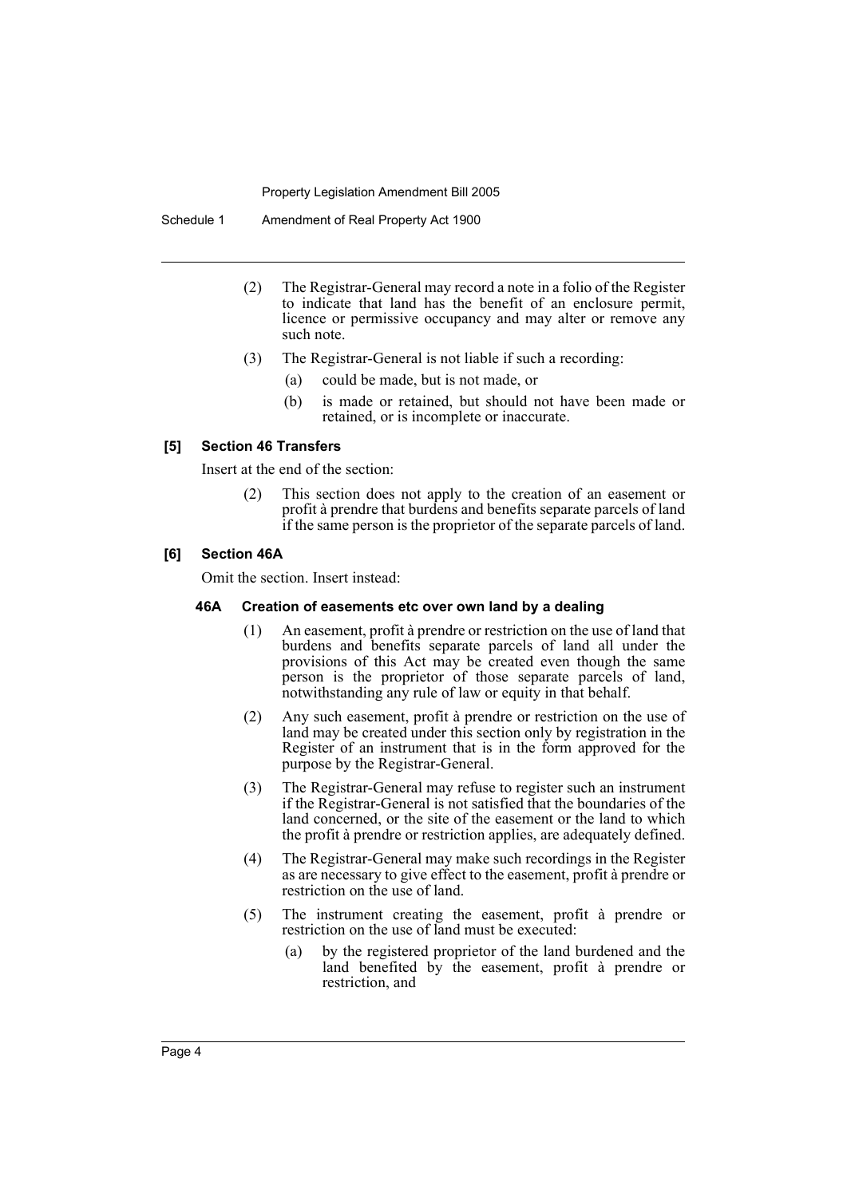Schedule 1 Amendment of Real Property Act 1900

- (2) The Registrar-General may record a note in a folio of the Register to indicate that land has the benefit of an enclosure permit, licence or permissive occupancy and may alter or remove any such note.
- (3) The Registrar-General is not liable if such a recording:
	- (a) could be made, but is not made, or
	- (b) is made or retained, but should not have been made or retained, or is incomplete or inaccurate.

#### **[5] Section 46 Transfers**

Insert at the end of the section:

(2) This section does not apply to the creation of an easement or profit à prendre that burdens and benefits separate parcels of land if the same person is the proprietor of the separate parcels of land.

#### **[6] Section 46A**

Omit the section. Insert instead:

#### **46A Creation of easements etc over own land by a dealing**

- (1) An easement, profit à prendre or restriction on the use of land that burdens and benefits separate parcels of land all under the provisions of this Act may be created even though the same person is the proprietor of those separate parcels of land, notwithstanding any rule of law or equity in that behalf.
- (2) Any such easement, profit à prendre or restriction on the use of land may be created under this section only by registration in the Register of an instrument that is in the form approved for the purpose by the Registrar-General.
- (3) The Registrar-General may refuse to register such an instrument if the Registrar-General is not satisfied that the boundaries of the land concerned, or the site of the easement or the land to which the profit à prendre or restriction applies, are adequately defined.
- (4) The Registrar-General may make such recordings in the Register as are necessary to give effect to the easement, profit à prendre or restriction on the use of land.
- (5) The instrument creating the easement, profit à prendre or restriction on the use of land must be executed:
	- (a) by the registered proprietor of the land burdened and the land benefited by the easement, profit à prendre or restriction, and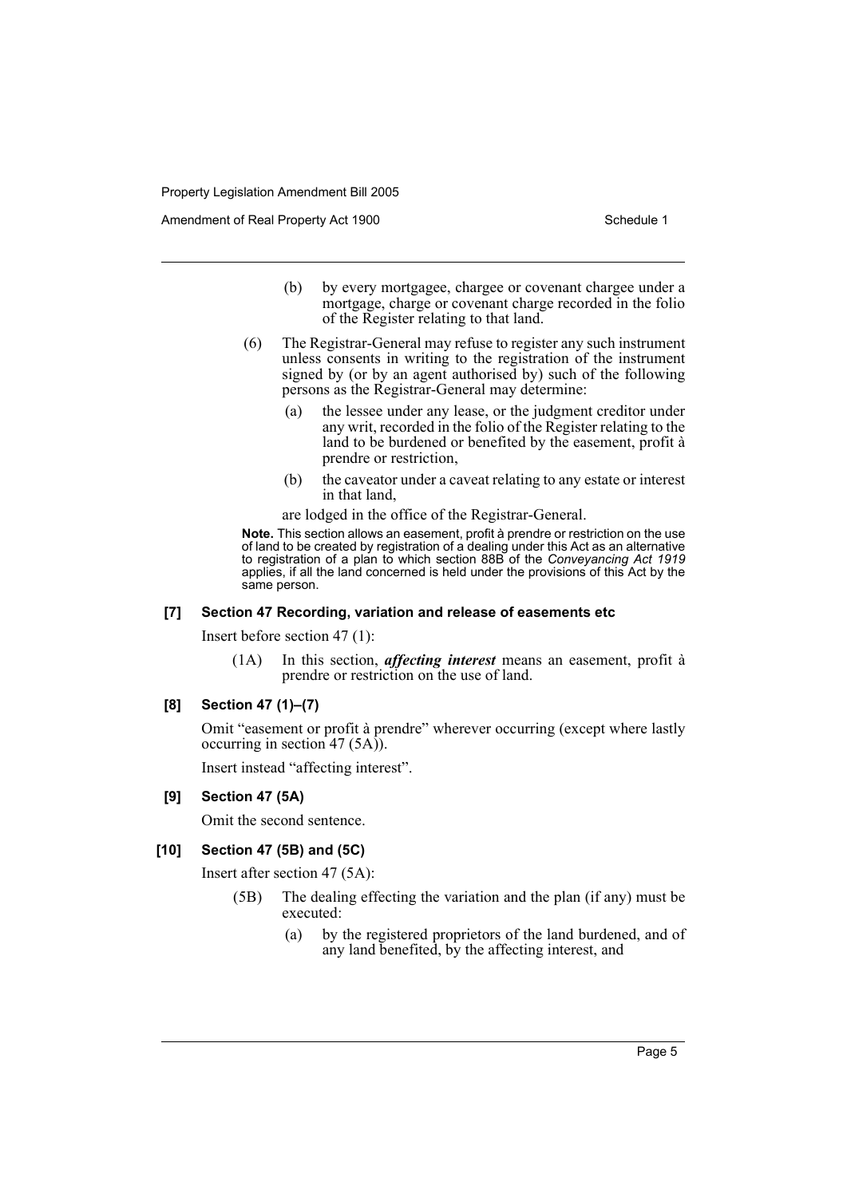Amendment of Real Property Act 1900 Schedule 1

- (b) by every mortgagee, chargee or covenant chargee under a mortgage, charge or covenant charge recorded in the folio of the Register relating to that land.
- (6) The Registrar-General may refuse to register any such instrument unless consents in writing to the registration of the instrument signed by (or by an agent authorised by) such of the following persons as the Registrar-General may determine:
	- (a) the lessee under any lease, or the judgment creditor under any writ, recorded in the folio of the Register relating to the land to be burdened or benefited by the easement, profit à prendre or restriction,
	- (b) the caveator under a caveat relating to any estate or interest in that land,

are lodged in the office of the Registrar-General.

**Note.** This section allows an easement, profit à prendre or restriction on the use of land to be created by registration of a dealing under this Act as an alternative to registration of a plan to which section 88B of the *Conveyancing Act 1919* applies, if all the land concerned is held under the provisions of this Act by the same person.

#### **[7] Section 47 Recording, variation and release of easements etc**

Insert before section 47 (1):

(1A) In this section, *affecting interest* means an easement, profit à prendre or restriction on the use of land.

#### **[8] Section 47 (1)–(7)**

Omit "easement or profit à prendre" wherever occurring (except where lastly occurring in section 47  $(5A)$ .

Insert instead "affecting interest".

#### **[9] Section 47 (5A)**

Omit the second sentence.

#### **[10] Section 47 (5B) and (5C)**

Insert after section 47 (5A):

- (5B) The dealing effecting the variation and the plan (if any) must be executed:
	- (a) by the registered proprietors of the land burdened, and of any land benefited, by the affecting interest, and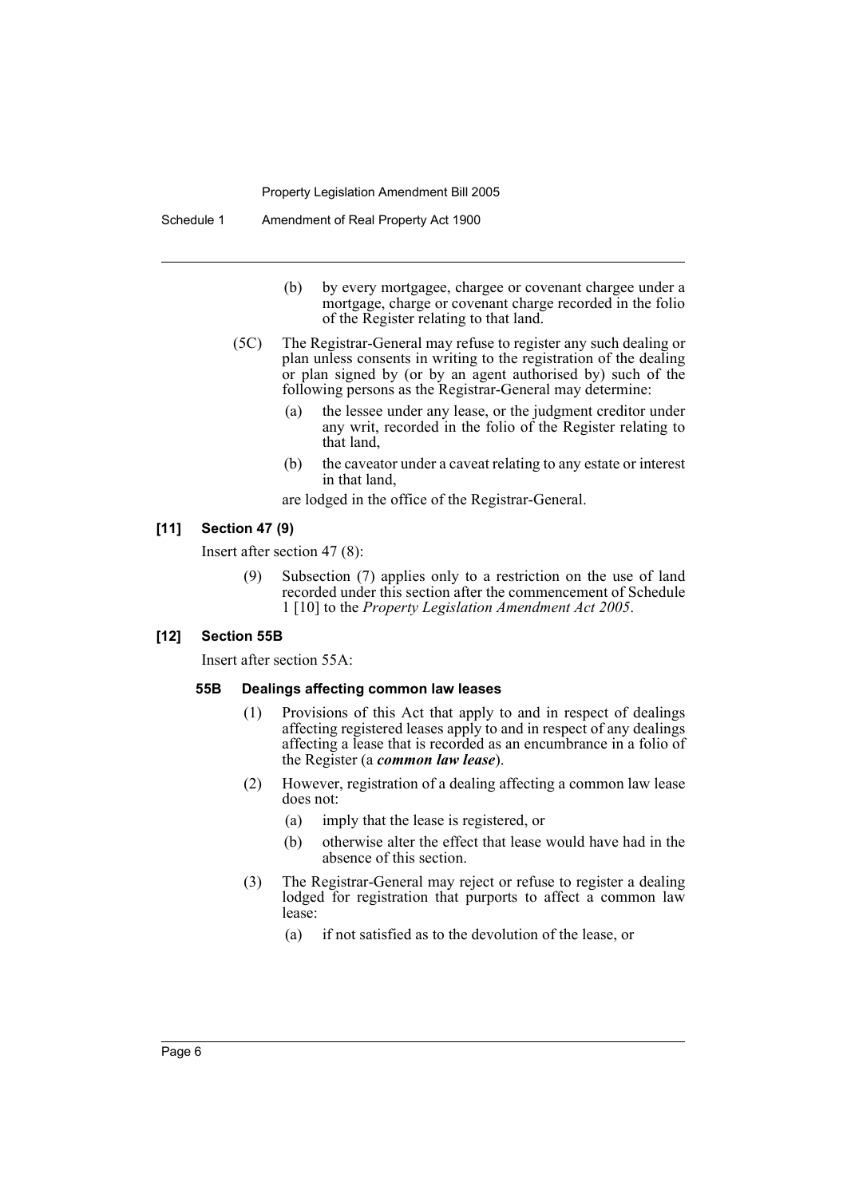- (b) by every mortgagee, chargee or covenant chargee under a mortgage, charge or covenant charge recorded in the folio of the Register relating to that land.
- (5C) The Registrar-General may refuse to register any such dealing or plan unless consents in writing to the registration of the dealing or plan signed by (or by an agent authorised by) such of the following persons as the Registrar-General may determine:
	- (a) the lessee under any lease, or the judgment creditor under any writ, recorded in the folio of the Register relating to that land,
	- (b) the caveator under a caveat relating to any estate or interest in that land,

are lodged in the office of the Registrar-General.

# **[11] Section 47 (9)**

Insert after section 47 (8):

(9) Subsection (7) applies only to a restriction on the use of land recorded under this section after the commencement of Schedule 1 [10] to the *Property Legislation Amendment Act 2005*.

#### **[12] Section 55B**

Insert after section 55A:

#### **55B Dealings affecting common law leases**

- (1) Provisions of this Act that apply to and in respect of dealings affecting registered leases apply to and in respect of any dealings affecting a lease that is recorded as an encumbrance in a folio of the Register (a *common law lease*).
- (2) However, registration of a dealing affecting a common law lease does not:
	- (a) imply that the lease is registered, or
	- (b) otherwise alter the effect that lease would have had in the absence of this section.
- (3) The Registrar-General may reject or refuse to register a dealing lodged for registration that purports to affect a common law lease:
	- (a) if not satisfied as to the devolution of the lease, or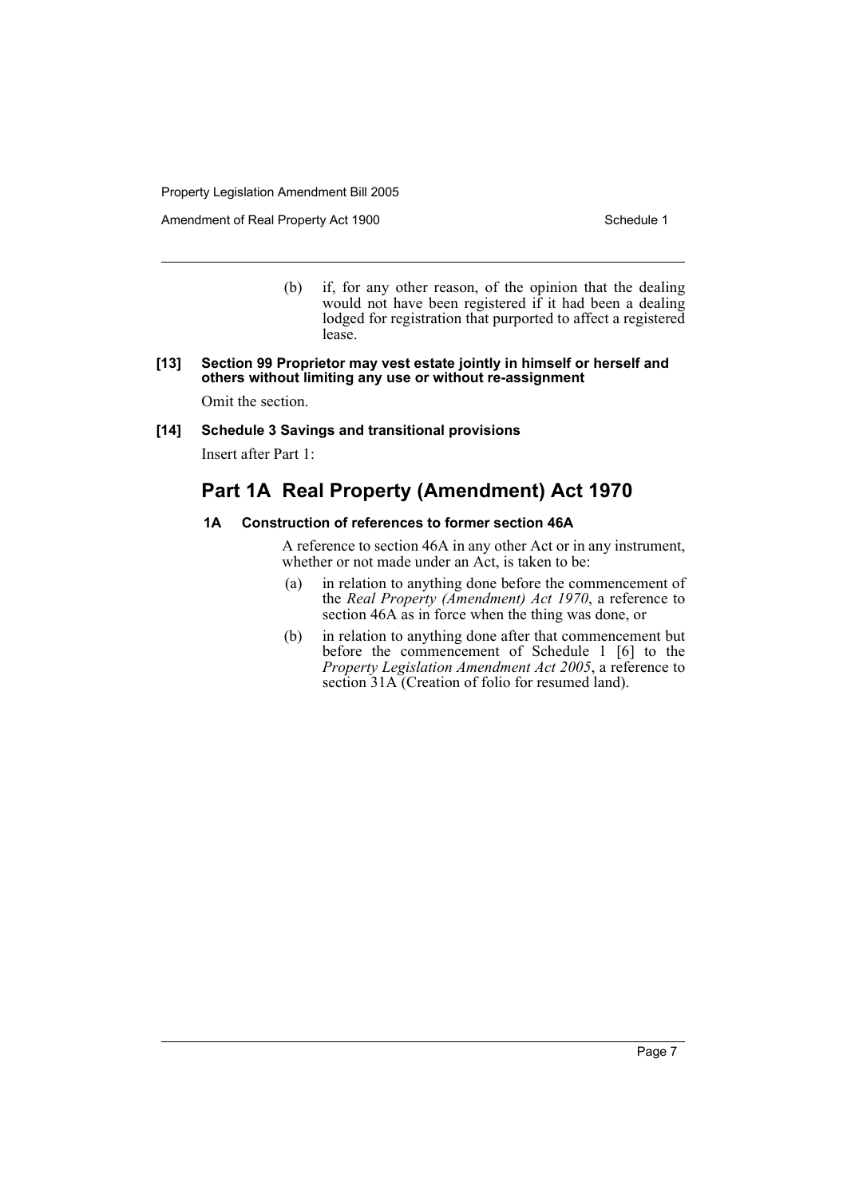Amendment of Real Property Act 1900 Schedule 1

(b) if, for any other reason, of the opinion that the dealing would not have been registered if it had been a dealing lodged for registration that purported to affect a registered lease.

#### **[13] Section 99 Proprietor may vest estate jointly in himself or herself and others without limiting any use or without re-assignment**

Omit the section.

#### **[14] Schedule 3 Savings and transitional provisions**

Insert after Part 1:

# **Part 1A Real Property (Amendment) Act 1970**

### **1A Construction of references to former section 46A**

A reference to section 46A in any other Act or in any instrument, whether or not made under an Act, is taken to be:

- (a) in relation to anything done before the commencement of the *Real Property (Amendment) Act 1970*, a reference to section 46A as in force when the thing was done, or
- (b) in relation to anything done after that commencement but before the commencement of Schedule 1 [6] to the *Property Legislation Amendment Act 2005*, a reference to section 31A (Creation of folio for resumed land).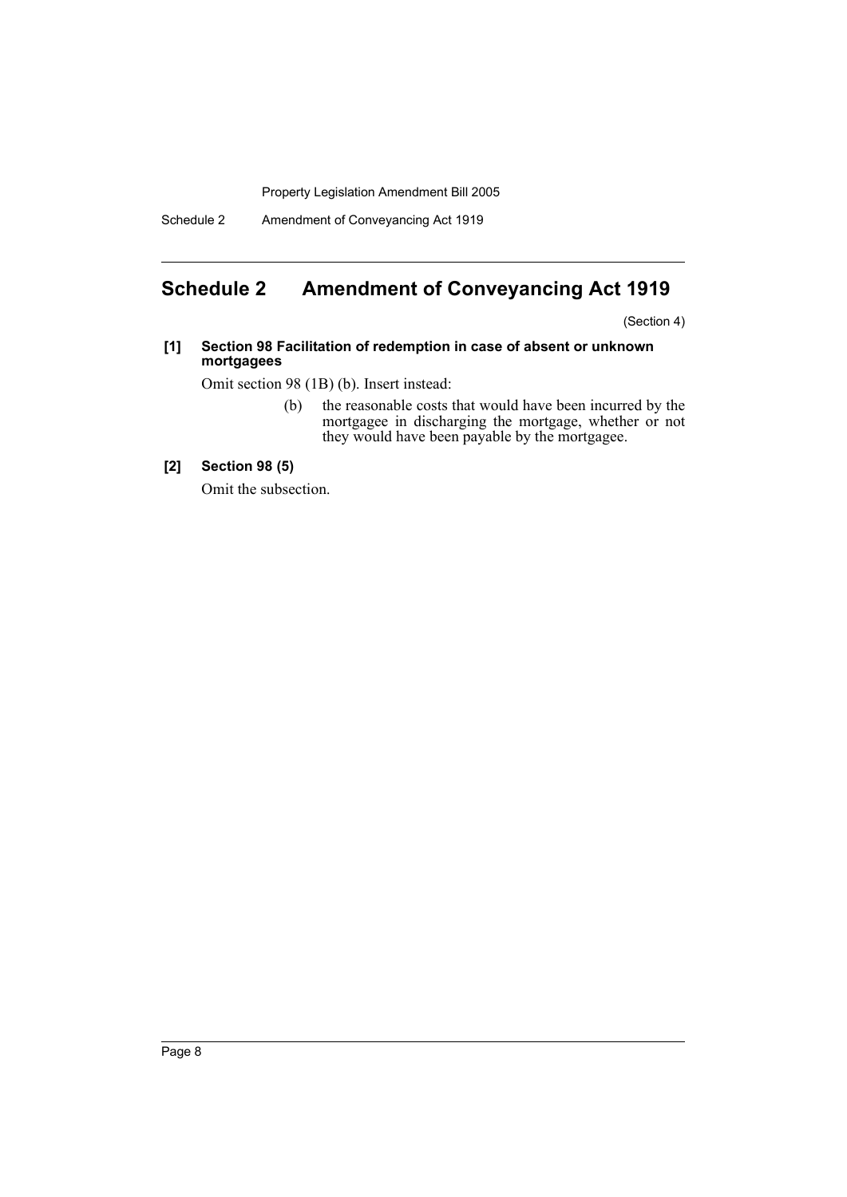Schedule 2 Amendment of Conveyancing Act 1919

# **Schedule 2 Amendment of Conveyancing Act 1919**

(Section 4)

#### **[1] Section 98 Facilitation of redemption in case of absent or unknown mortgagees**

Omit section 98 (1B) (b). Insert instead:

(b) the reasonable costs that would have been incurred by the mortgagee in discharging the mortgage, whether or not they would have been payable by the mortgagee.

## **[2] Section 98 (5)**

Omit the subsection.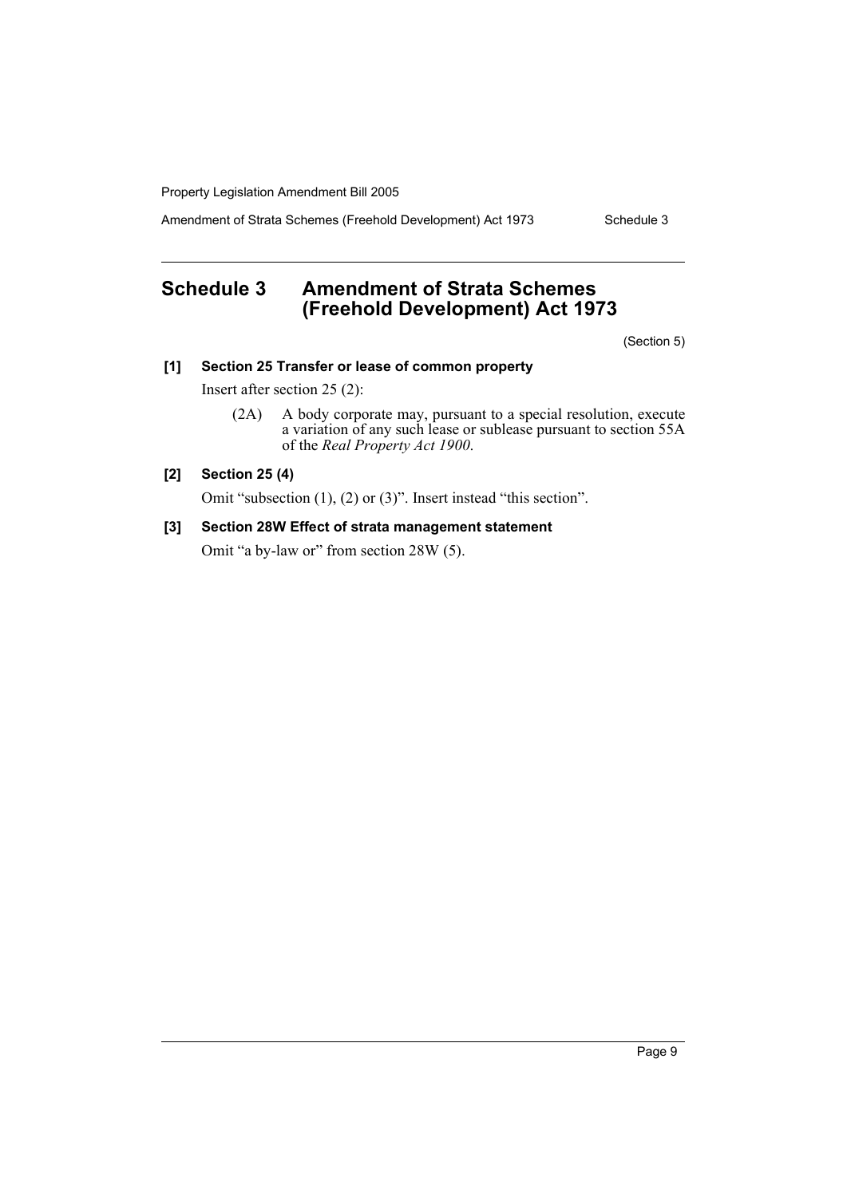Amendment of Strata Schemes (Freehold Development) Act 1973 Schedule 3

# **Schedule 3 Amendment of Strata Schemes (Freehold Development) Act 1973**

(Section 5)

# **[1] Section 25 Transfer or lease of common property**

Insert after section 25 (2):

(2A) A body corporate may, pursuant to a special resolution, execute a variation of any such lease or sublease pursuant to section 55A of the *Real Property Act 1900*.

# **[2] Section 25 (4)**

Omit "subsection (1), (2) or (3)". Insert instead "this section".

#### **[3] Section 28W Effect of strata management statement**

Omit "a by-law or" from section 28W (5).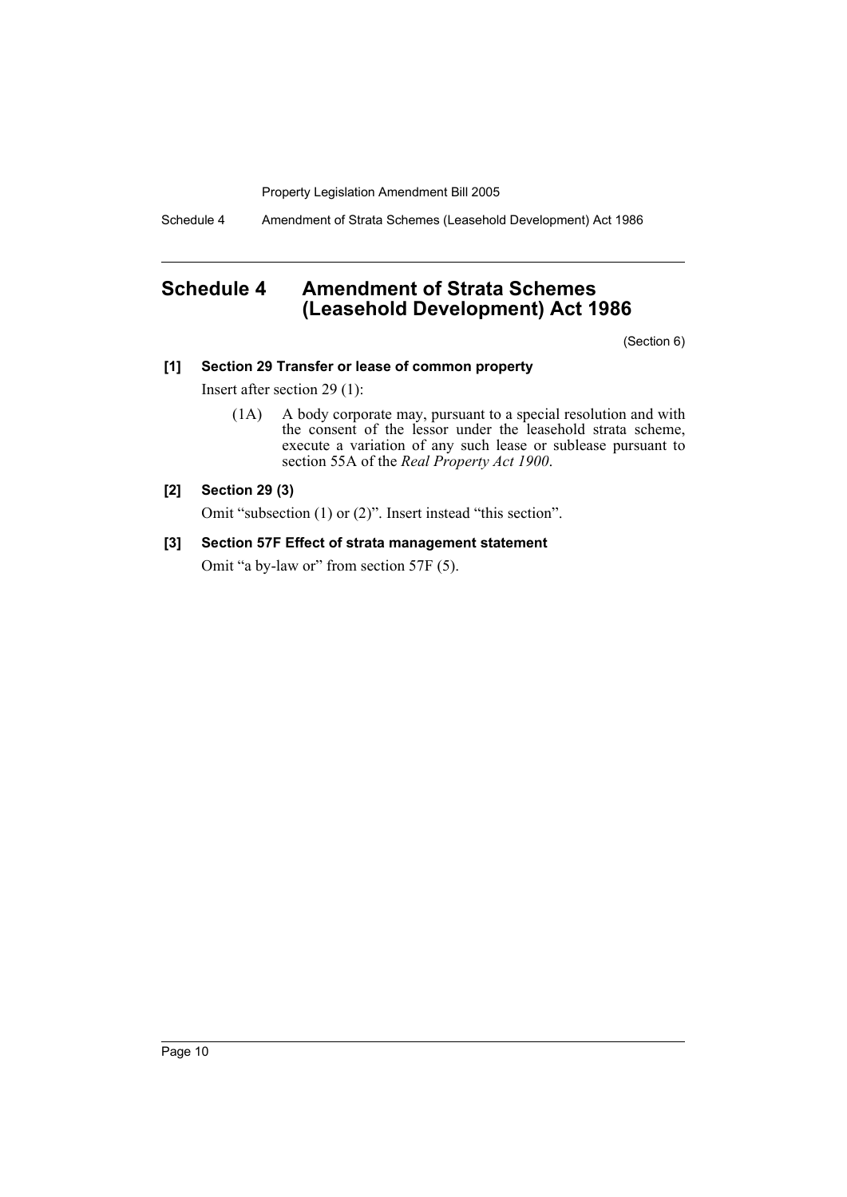Schedule 4 Amendment of Strata Schemes (Leasehold Development) Act 1986

# **Schedule 4 Amendment of Strata Schemes (Leasehold Development) Act 1986**

(Section 6)

## **[1] Section 29 Transfer or lease of common property**

Insert after section 29 (1):

(1A) A body corporate may, pursuant to a special resolution and with the consent of the lessor under the leasehold strata scheme, execute a variation of any such lease or sublease pursuant to section 55A of the *Real Property Act 1900*.

#### **[2] Section 29 (3)**

Omit "subsection (1) or (2)". Insert instead "this section".

## **[3] Section 57F Effect of strata management statement**

Omit "a by-law or" from section 57F (5).